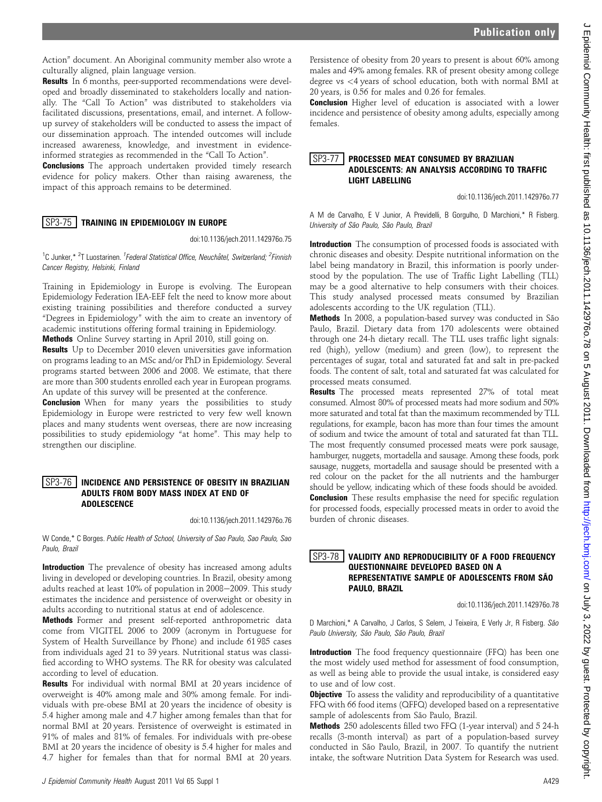Action" document. An Aboriginal community member also wrote a culturally aligned, plain language version.

Results In 6 months, peer-supported recommendations were developed and broadly disseminated to stakeholders locally and nationally. The "Call To Action" was distributed to stakeholders via facilitated discussions, presentations, email, and internet. A followup survey of stakeholders will be conducted to assess the impact of our dissemination approach. The intended outcomes will include increased awareness, knowledge, and investment in evidenceinformed strategies as recommended in the "Call To Action".

**Conclusions** The approach undertaken provided timely research evidence for policy makers. Other than raising awareness, the impact of this approach remains to be determined.

### SP3-75 TRAINING IN EPIDEMIOLOGY IN EUROPE

doi:10.1136/jech.2011.142976o.75

<sup>1</sup>C Junker,\* <sup>2</sup>T Luostarinen. <sup>1</sup> Federal Statistical Office, Neuchâtel, Switzerland; <sup>2</sup> Finnish Cancer Registry, Helsinki, Finland

Training in Epidemiology in Europe is evolving. The European Epidemiology Federation IEA-EEF felt the need to know more about existing training possibilities and therefore conducted a survey "Degrees in Epidemiology" with the aim to create an inventory of academic institutions offering formal training in Epidemiology.

Methods Online Survey starting in April 2010, still going on.

**Results** Up to December 2010 eleven universities gave information on programs leading to an MSc and/or PhD in Epidemiology. Several programs started between 2006 and 2008. We estimate, that there are more than 300 students enrolled each year in European programs. An update of this survey will be presented at the conference.

**Conclusion** When for many years the possibilities to study Epidemiology in Europe were restricted to very few well known places and many students went overseas, there are now increasing possibilities to study epidemiology "at home". This may help to strengthen our discipline.

#### SP3-76 INCIDENCE AND PERSISTENCE OF OBESITY IN BRAZILIAN ADULTS FROM BODY MASS INDEX AT END OF ADOLESCENCE

doi:10.1136/jech.2011.142976o.76

W Conde,\* C Borges. Public Health of School, University of Sao Paulo, Sao Paulo, Sao Paulo, Brazil

Introduction The prevalence of obesity has increased among adults living in developed or developing countries. In Brazil, obesity among adults reached at least 10% of population in 2008-2009. This study estimates the incidence and persistence of overweight or obesity in adults according to nutritional status at end of adolescence.

Methods Former and present self-reported anthropometric data come from VIGITEL 2006 to 2009 (acronym in Portuguese for System of Health Surveillance by Phone) and include 61 985 cases from individuals aged 21 to 39 years. Nutritional status was classified according to WHO systems. The RR for obesity was calculated according to level of education.

Results For individual with normal BMI at 20 years incidence of overweight is 40% among male and 30% among female. For individuals with pre-obese BMI at 20 years the incidence of obesity is 5.4 higher among male and 4.7 higher among females than that for normal BMI at 20 years. Persistence of overweight is estimated in 91% of males and 81% of females. For individuals with pre-obese BMI at 20 years the incidence of obesity is 5.4 higher for males and 4.7 higher for females than that for normal BMI at 20 years.

Persistence of obesity from 20 years to present is about 60% among males and 49% among females. RR of present obesity among college degree vs <4 years of school education, both with normal BMI at 20 years, is 0.56 for males and 0.26 for females.

**Conclusion** Higher level of education is associated with a lower incidence and persistence of obesity among adults, especially among females.

### SP3-77 | PROCESSED MEAT CONSUMED BY BRAZILIAN ADOLESCENTS: AN ANALYSIS ACCORDING TO TRAFFIC LIGHT LABELLING

doi:10.1136/jech.2011.142976o.77

A M de Carvalho, E V Junior, A Previdelli, B Gorgulho, D Marchioni,\* R Fisberg. University of São Paulo, São Paulo, Brazil

Introduction The consumption of processed foods is associated with chronic diseases and obesity. Despite nutritional information on the label being mandatory in Brazil, this information is poorly understood by the population. The use of Traffic Light Labelling (TLL) may be a good alternative to help consumers with their choices. This study analysed processed meats consumed by Brazilian adolescents according to the UK regulation (TLL).

Methods In 2008, a population-based survey was conducted in São Paulo, Brazil. Dietary data from 170 adolescents were obtained through one 24-h dietary recall. The TLL uses traffic light signals: red (high), yellow (medium) and green (low), to represent the percentages of sugar, total and saturated fat and salt in pre-packed foods. The content of salt, total and saturated fat was calculated for processed meats consumed.

Results The processed meats represented 27% of total meat consumed. Almost 80% of processed meats had more sodium and 50% more saturated and total fat than the maximum recommended by TLL regulations, for example, bacon has more than four times the amount of sodium and twice the amount of total and saturated fat than TLL. The most frequently consumed processed meats were pork sausage, hamburger, nuggets, mortadella and sausage. Among these foods, pork sausage, nuggets, mortadella and sausage should be presented with a red colour on the packet for the all nutrients and the hamburger should be yellow, indicating which of these foods should be avoided. **Conclusion** These results emphasise the need for specific regulation for processed foods, especially processed meats in order to avoid the burden of chronic diseases.

## **SP3-78** VALIDITY AND REPRODUCIBILITY OF A FOOD FREQUENCY QUESTIONNAIRE DEVELOPED BASED ON A REPRESENTATIVE SAMPLE OF ADOLESCENTS FROM SÃO PAULO, BRAZIL

doi:10.1136/jech.2011.142976o.78

D Marchioni,\* A Carvalho, J Carlos, S Selem, J Teixeira, E Verly Jr, R Fisberg. São Paulo University, São Paulo, São Paulo, Brazil

Introduction The food frequency questionnaire (FFQ) has been one the most widely used method for assessment of food consumption, as well as being able to provide the usual intake, is considered easy to use and of low cost.

**Objective** To assess the validity and reproducibility of a quantitative FFQ with 66 food items (QFFQ) developed based on a representative sample of adolescents from São Paulo, Brazil.

Methods 250 adolescents filled two FFQ (1-year interval) and 5 24-h recalls (3-month interval) as part of a population-based survey conducted in São Paulo, Brazil, in 2007. To quantify the nutrient intake, the software Nutrition Data System for Research was used.